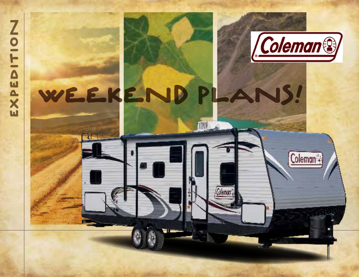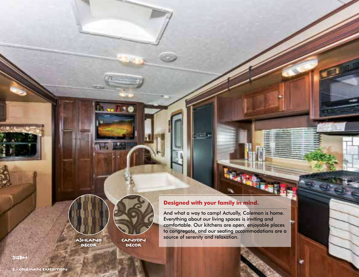

**DECOR** 

DECOR

## **Designed with your family in mind.**

And what a way to camp! Actually, Coleman is home. Everything about our living spaces is inviting and comfortable. Our kitchens are open, enjoyable places to congregate, and our seating accommodations are a source of serenity and relaxation. CANYON

 $312B+$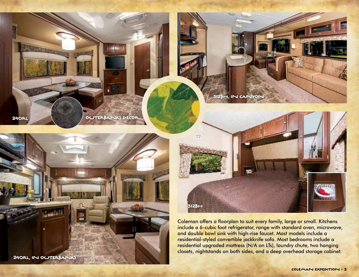**240R** 



OUTERBANKS DECOR



Coleman offers a floorplan to suit every family, large or small. Kitchens include a 6-cubic foot refrigerator, range with standard oven, microwave, and double bowl sink with high-rise faucet. Most models include a residential-styled convertible jackknife sofa. Most bedrooms include a residential upgraded mattress (N/A on LTs), laundry chute, two hanging closets, nightstands on both sides, and a deep overhead storage cabinet.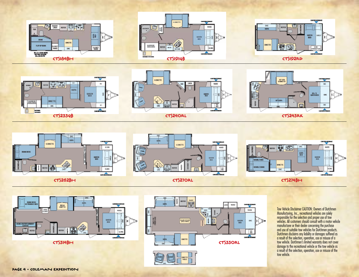







INETTI<br>Taeile

Tow Vehicle Disclaimer CAUTION: Owners of Dutchmen Manufacturing, Inc., recreational vehicles are solely responsible for the selection and proper use of tow vehicles. All customers should consult with a motor vehicle manufacturer or their dealer concerning the purchase and use of suitable tow vehicles for Dutchmen products. Dutchmen disclaims any liability or damages suffered as a result of the selection, operation, use or misuse of a tow vehicle. Dutchmen's limited warranty does not cover damage to the recreational vehicle or the tow vehicle as a result of the selection, operation, use or misuse of the tow vehicle.

WARD

œc

蔎  $\frac{1}{2}$  ь.

 $rac{\text{CUEEN}}{\text{BED}}$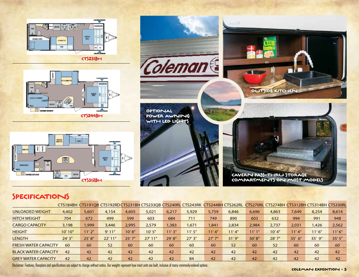

CTS231BH

CTS312BH

QUEEN

 $\frac{96}{165}$  $\overline{\mathbf{A}}$ 



**SDFA** 

**REPER** 

**BOOTH**<br>OMETTE

面固

両

 $OHC$ 



# SPECIFICATIONS

WERE<br>PANTRY

BUNK BEDS

**CURSE KIRHEN** 

|                             |         |        | CTS184BH CTS191QB CTS192RD CTS231BH CTS233QB CTS240RL CTS243RK CTS244BH CTS262RL CTS270RL CTS274BH CTS312BH CTS314BH CTS330RL |        |           |       |        |        |        |        |        |          |        |        |
|-----------------------------|---------|--------|-------------------------------------------------------------------------------------------------------------------------------|--------|-----------|-------|--------|--------|--------|--------|--------|----------|--------|--------|
| UNLOADED WEIGHT             | 4,402   | 5,601  | 4.154                                                                                                                         | 4.605  | 5.021     | 6.217 | 5.929  | 5.759  | 6,846  | 6.696  | 4,863  | 7.649    | 8,254  | 8,614  |
| <b>HITCH WEIGHT</b>         | 704     | 672    | 499                                                                                                                           | 599    | 603       | 684   | 711    | 749    | 890    | 603    | 632    | 994      | 991    | 948    |
| <b>CARGO CAPACITY</b>       | 3.198   | 1.999  | 3,446                                                                                                                         | 2.995  | 2.579     | 1,383 | 1.671  | 1,841  | 2.834  | 2.984  | 2.737  | 2,031    | 1.426  | 2,562  |
| <b>HEIGHT</b>               | 10' 10" | 11'2"  | 9'11'                                                                                                                         | 10' 8" | 10'5"     | 11'3" | 11'5"  | 11'4"  | 11'4"  | 11'1"  | 10' 4" | 11'4"    | 11'6'' | 11'6'' |
| <b>LENGTH</b>               | 24' 3"  | 25'8'' | $22'$ 11"                                                                                                                     | 25'7'' | $27'$ 11" | 29'8" | 27'3'' | 27'7'' | 31'9'' | 30'8'' | 28'7'' | $35'$ 6" | 35' 9" | 35'5'' |
| <b>FRESH WATER CAPACITY</b> | 60      | 60     | 52                                                                                                                            | 60     | 60        | 60    | 60     | 60     | 52     | 60     | 52     | 60       | 60     | 60     |
| <b>BLACK WATER CAPACITY</b> | 42      | 42     | 42                                                                                                                            | 42     | 42        | 42    | 42     | 42     | 42     | 42     | 42     | 42       | 42     | 42     |
| <b>GREY WATER CAPACITY</b>  | 42      | 42     | 42                                                                                                                            | 42     | 42        | 42    | 84     | 42     | 42     | 42     | 42     | 42       | 42     | 42     |

Disclaimer: Features, floorplans and specifications are subject to change without notice. Our weights represent how most units are built, inclusive of many commonly-ordered options.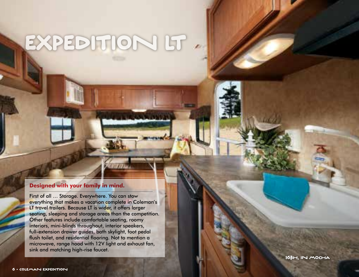# EXPEDITION LT

#### **Designed with your family in mind.**

First of all … Storage. Everywhere. You can stow everything that makes a vacation complete in Coleman's LT travel trailers. Because LT is wider, it offers larger seating, sleeping and storage areas than the competition. Other features include comfortable seating, roomy interiors, mini-blinds throughout, interior speakers, full-extension drawer guides, bath skylight, foot pedal flush toilet, and residential flooring. Not to mention a microwave, range hood with 12V light and exhaust fan, sink and matching high-rise faucet.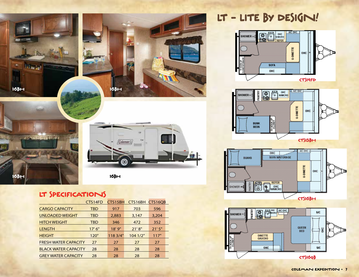

# LT SPECIFICATIONS

|                             | CTS14FD    | CTS15BH  | CTS16BH  | CTS16OB |
|-----------------------------|------------|----------|----------|---------|
| <b>CARGO CAPACITY</b>       | <b>TBD</b> | 917      | 703      | 596     |
| <b>UNLOADED WEIGHT</b>      | <b>TBD</b> | 2,883    | 3,147    | 3,204   |
| <b>HITCH WEIGHT</b>         | <b>TBD</b> | 346      | 472      | 352     |
| <b>LENGTH</b>               | 17'6''     | 18'9''   | 21'8''   | 21'5''  |
| <b>HEIGHT</b>               | 120"       | 118 3/4" | 104 1/2" | 117"    |
| <b>FRESH WATER CAPACITY</b> | 27         | 27       | 27       | 27      |
| <b>BLACK WATER CAPACITY</b> | 28         | 28       | 28       | 28      |
| <b>GREY WATER CAPACITY</b>  | 28         | 28       | 28       | 28      |

LT - LITE BY DESIGN!